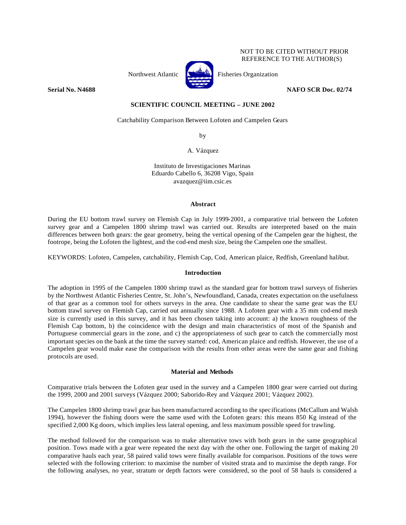## NOT TO BE CITED WITHOUT PRIOR REFERENCE TO THE AUTHOR(S)



Northwest Atlantic **Kernet** Fisheries Organization

**Serial No. N4688 NAFO SCR Doc. 02/74** 

# **SCIENTIFIC COUNCIL MEETING – JUNE 2002**

Catchability Comparison Between Lofoten and Campelen Gears

by

A. Vázquez

Instituto de Investigaciones Marinas Eduardo Cabello 6, 36208 Vigo, Spain avazquez@iim.csic.es

## **Abstract**

During the EU bottom trawl survey on Flemish Cap in July 1999-2001, a comparative trial between the Lofoten survey gear and a Campelen 1800 shrimp trawl was carried out. Results are interpreted based on the main differences between both gears: the gear geometry, being the vertical opening of the Campelen gear the highest, the footrope, being the Lofoten the lightest, and the cod-end mesh size, being the Campelen one the smallest.

KEYWORDS: Lofoten, Campelen, catchability, Flemish Cap, Cod, American plaice, Redfish, Greenland halibut.

## **Introduction**

The adoption in 1995 of the Campelen 1800 shrimp trawl as the standard gear for bottom trawl surveys of fisheries by the Northwest Atlantic Fisheries Centre, St. John's, Newfoundland, Canada, creates expectation on the usefulness of that gear as a common tool for others surveys in the area. One candidate to shear the same gear was the EU bottom trawl survey on Flemish Cap, carried out annually since 1988. A Lofoten gear with a 35 mm cod-end mesh size is currently used in this survey, and it has been chosen taking into account: a) the known roughness of the Flemish Cap bottom, b) the coincidence with the design and main characteristics of most of the Spanish and Portuguese commercial gears in the zone, and c) the appropriateness of such gear to catch the commercially most important species on the bank at the time the survey started: cod, American plaice and redfish. However, the use of a Campelen gear would make ease the comparison with the results from other areas were the same gear and fishing protocols are used.

# **Material and Methods**

Comparative trials between the Lofoten gear used in the survey and a Campelen 1800 gear were carried out during the 1999, 2000 and 2001 surveys (Vázquez 2000; Saborido-Rey and Vázquez 2001; Vázquez 2002).

The Campelen 1800 shrimp trawl gear has been manufactured according to the specifications (McCallum and Walsh 1994), however the fishing doors were the same used with the Lofoten gears: this means 850 Kg instead of the specified 2,000 Kg doors, which implies less lateral opening, and less maximum possible speed for trawling.

The method followed for the comparison was to make alternative tows with both gears in the same geographical position. Tows made with a gear were repeated the next day with the other one. Following the target of making 20 comparative hauls each year, 58 paired valid tows were finally available for comparison. Positions of the tows were selected with the following criterion: to maximise the number of visited strata and to maximise the depth range. For the following analyses, no year, stratum or depth factors were considered, so the pool of 58 hauls is considered a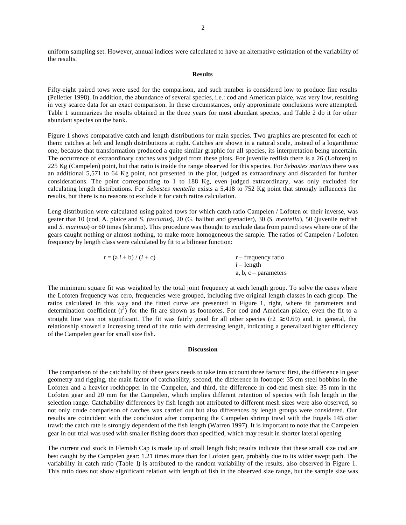uniform sampling set. However, annual indices were calculated to have an alternative estimation of the variability of the results.

## **Results**

Fifty-eight paired tows were used for the comparison, and such number is considered low to produce fine results (Pelletier 1998). In addition, the abundance of several species, i.e.: cod and American plaice, was very low, resulting in very scarce data for an exact comparison. In these circumstances, only approximate conclusions were attempted. Table 1 summarizes the results obtained in the three years for most abundant species, and Table 2 do it for other abundant species on the bank.

Figure 1 shows comparative catch and length distributions for main species. Two graphics are presented for each of them: catches at left and length distributions at right. Catches are shown in a natural scale, instead of a logarithmic one, because that transformation produced a quite similar graphic for all species, its interpretation being uncertain. The occurrence of extraordinary catches was judged from these plots. For juvenile redfish there is a 26 (Lofoten) to 225 Kg (Campelen) point, but that ratio is inside the range observed for this species. For *Sebastes marinus* there was an additional 5,571 to 64 Kg point, not presented in the plot, judged as extraordinary and discarded for further considerations. The point corresponding to 1 to 188 Kg, even judged extraordinary, was only excluded for calculating length distributions. For *Sebastes mentella* exists a 5,418 to 752 Kg point that strongly influences the results, but there is no reasons to exclude it for catch ratios calculation.

Leng distribution were calculated using paired tows for which catch ratio Campelen / Lofoten or their inverse, was geater that 10 (cod, A. plaice and *S. fasciatus*), 20 (G. halibut and grenadier), 30 (*S. mentella*), 50 (juvenile redfish and *S. marinus*) or 60 times (shrimp). This procedure was thought to exclude data from paired tows where one of the gears caught nothing or almost nothing, to make more homogeneous the sample. The ratios of Campelen / Lofoten frequency by length class were calculated by fit to a bilinear function:

| $r = (a l + b) / (l + c)$ | $r$ – frequency ratio |
|---------------------------|-----------------------|
|                           | $l$ – length          |
|                           | a, b, c – parameters  |

The minimum square fit was weighted by the total joint frequency at each length group. To solve the cases where the Lofoten frequency was cero, frequencies were grouped, including five original length classes in each group. The ratios calculated in this way and the fitted curve are presented in Figure 1, right, where fit parameters and determination coefficient  $(r^2)$  for the fit are shown as footnotes. For cod and American plaice, even the fit to a straight line was not significant. The fit was fairly good for all other species (r2  $\geq$  0.69) and, in general, the relationship showed a increasing trend of the ratio with decreasing length, indicating a generalized higher efficiency of the Campelen gear for small size fish.

## **Discussion**

The comparison of the catchability of these gears needs to take into account three factors: first, the difference in gear geometry and rigging, the main factor of catchability, second, the difference in footrope: 35 cm steel bobbins in the Lofoten and a heavier rockhopper in the Campelen, and third, the difference in cod-end mesh size: 35 mm in the Lofoten gear and 20 mm for the Campelen, which implies different retention of species with fish length in the selection range. Catchability differences by fish length not attributed to different mesh sizes were also observed, so not only crude comparison of catches was carried out but also differences by length groups were considered. Our results are coincident with the conclusion after comparing the Campelen shrimp trawl with the Engels 145 otter trawl: the catch rate is strongly dependent of the fish length (Warren 1997). It is important to note that the Campelen gear in our trial was used with smaller fishing doors than specified, which may result in shorter lateral opening.

The current cod stock in Flemish Cap is made up of small length fish; results indicate that these small size cod are best caught by the Campelen gear: 1.21 times more than for Lofoten gear, probably due to its wider swept path. The variability in catch ratio (Table 1) is attributed to the random variability of the results, also observed in Figure 1. This ratio does not show significant relation with length of fish in the observed size range, but the sample size was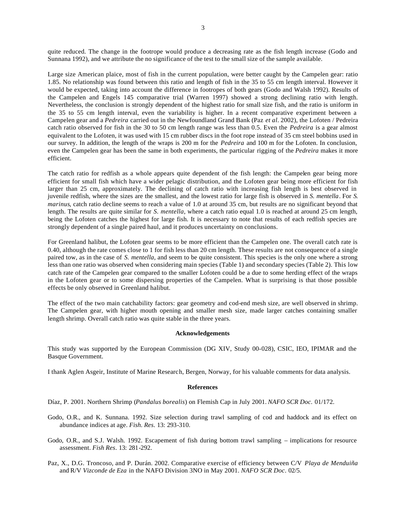quite reduced. The change in the footrope would produce a decreasing rate as the fish length increase (Godo and Sunnana 1992), and we attribute the no significance of the test to the small size of the sample available.

Large size American plaice, most of fish in the current population, were better caught by the Campelen gear: ratio 1.85. No relationship was found between this ratio and length of fish in the 35 to 55 cm length interval. However it would be expected, taking into account the difference in footropes of both gears (Godo and Walsh 1992). Results of the Campelen and Engels 145 comparative trial (Warren 1997) showed a strong declining ratio with length. Nevertheless, the conclusion is strongly dependent of the highest ratio for small size fish, and the ratio is uniform in the 35 to 55 cm length interval, even the variability is higher. In a recent comparative experiment between a Campelen gear and a *Pedreira* carried out in the Newfoundland Grand Bank (Paz *et al.* 2002), the Lofoten / Pedreira catch ratio observed for fish in the 30 to 50 cm length range was less than 0.5. Even the *Pedreira* is a gear almost equivalent to the Lofoten, it was used with 15 cm rubber discs in the foot rope instead of 35 cm steel bobbins used in our survey. In addition, the length of the wraps is 200 m for the *Pedreira* and 100 m for the Lofoten. In conclusion, even the Campelen gear has been the same in both experiments, the particular rigging of the *Pedreira* makes it more efficient.

The catch ratio for redfish as a whole appears quite dependent of the fish length: the Campelen gear being more efficient for small fish which have a wider pelagic distribution, and the Lofoten gear being more efficient for fish larger than 25 cm, approximately. The declining of catch ratio with increasing fish length is best observed in juvenile redfish, where the sizes are the smallest, and the lowest ratio for large fish is observed in *S. mentella*. For *S. marinus*, catch ratio decline seems to reach a value of 1.0 at around 35 cm, but results are no significant beyond that length. The results are quite similar for *S. mentella*, where a catch ratio equal 1.0 is reached at around 25 cm length, being the Lofoten catches the highest for large fish. It is necessary to note that results of each redfish species are strongly dependent of a single paired haul, and it produces uncertainty on conclusions.

For Greenland halibut, the Lofoten gear seems to be more efficient than the Campelen one. The overall catch rate is 0.40, although the rate comes close to 1 for fish less than 20 cm length. These results are not consequence of a single paired tow, as in the case of *S. mentella*, and seem to be quite consistent. This species is the only one where a strong less than one ratio was observed when considering main species (Table 1) and secondary species (Table 2). This low catch rate of the Campelen gear compared to the smaller Lofoten could be a due to some herding effect of the wraps in the Lofoten gear or to some dispersing properties of the Campelen. What is surprising is that those possible effects be only observed in Greenland halibut.

The effect of the two main catchability factors: gear geometry and cod-end mesh size, are well observed in shrimp. The Campelen gear, with higher mouth opening and smaller mesh size, made larger catches containing smaller length shrimp. Overall catch ratio was quite stable in the three years.

#### **Acknowledgements**

This study was supported by the European Commission (DG XIV, Study 00-028), CSIC, IEO, IPIMAR and the Basque Government.

I thank Aglen Asgeir, Institute of Marine Research, Bergen, Norway, for his valuable comments for data analysis.

### **References**

Díaz, P. 2001. Northern Shrimp (*Pandalus borealis*) on Flemish Cap in July 2001. *NAFO SCR Doc.* 01/172.

- Godo, O.R., and K. Sunnana. 1992. Size selection during trawl sampling of cod and haddock and its effect on abundance indices at age. *Fish. Res*. 13: 293-310.
- Godo, O.R., and S.J. Walsh. 1992. Escapement of fish during bottom trawl sampling implications for resource assessment. *Fish Res*. 13: 281-292.
- Paz, X., D.G. Troncoso, and P. Durán. 2002. Comparative exercise of efficiency between C/V *Playa de Menduiña* and R/V *Vizconde de Eza* in the NAFO Division 3NO in May 2001. *NAFO SCR Doc*. 02/5.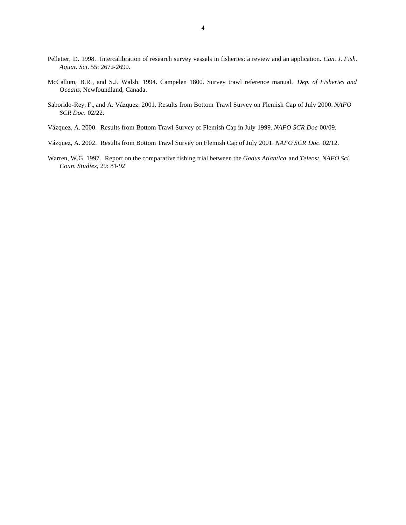- Pelletier, D. 1998. Intercalibration of research survey vessels in fisheries: a review and an application. *Can. J. Fish. Aquat. Sci.* 55: 2672-2690.
- McCallum, B.R., and S.J. Walsh. 1994. Campelen 1800. Survey trawl reference manual. *Dep. of Fisheries and Oceans*, Newfoundland, Canada.
- Saborido-Rey, F., and A. Vázquez. 2001. Results from Bottom Trawl Survey on Flemish Cap of July 2000. *NAFO SCR Doc*. 02/22.
- Vázquez, A. 2000. Results from Bottom Trawl Survey of Flemish Cap in July 1999. *NAFO SCR Doc* 00/09.
- Vázquez, A. 2002. Results from Bottom Trawl Survey on Flemish Cap of July 2001. *NAFO SCR Doc*. 02/12.
- Warren, W.G. 1997. Report on the comparative fishing trial between the *Gadus Atlantica* and *Teleost*. *NAFO Sci. Coun. Studies*, 29: 81-92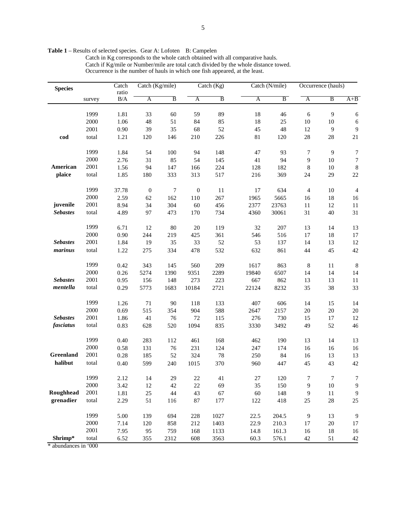Table 1 – Results of selected species. Gear A: Lofoten B: Campelen

Catch in Kg corresponds to the whole catch obtained with all comparative hauls. Catch if Kg/mile or Number/mile are total catch divided by the whole distance towed. Occurrence is the number of hauls in which one fish appeared, at the least.

| <b>Species</b>  |          | Catch | Catch (Kg/mile)  |      | Catch (Kg)       |                |        | Catch (N/mile) |                         | Occurrence (hauls) |                  |
|-----------------|----------|-------|------------------|------|------------------|----------------|--------|----------------|-------------------------|--------------------|------------------|
|                 |          | ratio |                  |      |                  |                |        |                |                         |                    |                  |
|                 | survey   | B/A   | A                | B    | A                | $\overline{B}$ | A      | B              | $\overline{\mathbf{A}}$ | B                  | $A + B$          |
|                 |          |       |                  |      |                  |                |        |                |                         |                    |                  |
|                 | 1999     | 1.81  | 33               | 60   | 59               | 89             | 18     | 46             | 6                       | 9                  | 6                |
|                 | 2000     | 1.06  | $\sqrt{48}$      | 51   | 84               | 85             | 18     | 25             | 10                      | $10\,$             | $\epsilon$       |
|                 | 2001     | 0.90  | 39               | 35   | 68               | 52             | 45     | 48             | 12                      | $\overline{9}$     | $\mathbf{9}$     |
| cod             | total    | 1.21  | 120              | 146  | 210              | 226            | $81\,$ | 120            | 28                      | $28\,$             | 21               |
|                 |          |       |                  |      |                  |                |        |                |                         |                    |                  |
|                 | 1999     | 1.84  | 54               | 100  | 94               | 148            | 47     | 93             | 7                       | $\overline{9}$     | 7                |
|                 | 2000     | 2.76  | 31               | 85   | 54               | 145            | 41     | 94             | 9                       | 10                 | $\boldsymbol{7}$ |
| American        | 2001     | 1.56  | 94               | 147  | 166              | 224            | 128    | 182            | 8                       | $10\,$             | $\, 8$           |
| plaice          | total    | 1.85  | 180              | 333  | 313              | 517            | 216    | 369            | 24                      | 29                 | $22\,$           |
|                 |          |       |                  |      |                  |                |        |                |                         |                    |                  |
|                 | 1999     | 37.78 | $\boldsymbol{0}$ | 7    | $\boldsymbol{0}$ | 11             | 17     | 634            | $\overline{4}$          | 10                 | $\overline{4}$   |
|                 | $2000\,$ | 2.59  | 62               | 162  | 110              | 267            | 1965   | 5665           | 16                      | 18                 | 16               |
| juvenile        | 2001     | 8.94  | 34               | 304  | $60\,$           | 456            | 2377   | 23763          | 11                      | 12                 | $11\,$           |
| <b>Sebastes</b> | total    | 4.89  | 97               | 473  | 170              | 734            | 4360   | 30061          | 31                      | 40                 | 31               |
|                 |          |       |                  |      |                  |                |        |                |                         |                    |                  |
|                 | 1999     | 6.71  | 12               | 80   | $20\,$           | 119            | 32     | 207            | 13                      | 14                 | 13               |
|                 | 2000     | 0.90  | 244              | 219  | 425              | 361            | 546    | 516            | 17                      | 18                 | 17               |
| <b>Sebastes</b> | 2001     | 1.84  | 19               | 35   | 33               | 52             | 53     | 137            | 14                      | 13                 | 12               |
| marinus         | total    | 1.22  | 275              | 334  | 478              | 532            | 632    | 861            | 44                      | 45                 | 42               |
|                 |          |       |                  |      |                  |                |        |                |                         |                    |                  |
|                 | 1999     | 0.42  | 343              | 145  | 560              | 209            | 1617   | 863            | $\,8\,$                 | 11                 | $8\phantom{1}$   |
|                 | 2000     | 0.26  | 5274             | 1390 | 9351             | 2289           | 19840  | 6507           | 14                      | 14                 | 14               |
| <b>Sebastes</b> | 2001     | 0.95  | 156              | 148  | 273              | 223            | 667    | 862            | 13                      | 13                 | $11\,$           |
| mentella        | total    | 0.29  | 5773             | 1683 | 10184            | 2721           | 22124  | 8232           | 35                      | 38                 | 33               |
|                 |          |       |                  |      |                  |                |        |                |                         |                    |                  |
|                 | 1999     | 1.26  | 71               | 90   | 118              | 133            | 407    | 606            | 14                      | 15                 | 14               |
|                 | 2000     | 0.69  | 515              | 354  | 904              | 588            | 2647   | 2157           | 20                      | $20\,$             | $20\,$           |
| <b>Sebastes</b> | 2001     | 1.86  | 41               | 76   | 72               | 115            | 276    | 730            | 15                      | 17                 | 12               |
| fasciatus       | total    | 0.83  | 628              | 520  | 1094             | 835            | 3330   | 3492           | 49                      | 52                 | 46               |
|                 |          |       |                  |      |                  |                |        |                |                         |                    |                  |
|                 | 1999     | 0.40  | 283              | 112  | 461              | 168            | 462    | 190            | 13                      | 14                 | 13               |
|                 | 2000     | 0.58  | 131              | 76   | 231              | 124            | 247    | 174            | 16                      | 16                 | 16               |
| Greenland       | 2001     | 0.28  | 185              | 52   | 324              | $78\,$         | 250    | 84             | 16                      | 13                 | 13               |
| halibut         | total    | 0.40  | 599              | 240  | 1015             | 370            | 960    | 447            | 45                      | 43                 | 42               |
|                 |          |       |                  |      |                  |                |        |                |                         |                    |                  |
|                 | 1999     | 2.12  | 14               | 29   | 22.              | 41             | 27     | 120            | 7                       | 7                  | 7                |
|                 | 2000     | 3.42  | 12               | 42   | 22               | 69             | 35     | 150            | 9                       | 10                 | $\overline{9}$   |
| Roughhead       | 2001     | 1.81  | $25\,$           | 44   | 43               | 67             | 60     | 148            | 9                       | $11\,$             | $\boldsymbol{9}$ |
| grenadier       | total    | 2.29  | 51               | 116  | 87               | 177            | 122    | 418            | 25                      | $28\,$             | 25               |
|                 |          |       |                  |      |                  |                |        |                |                         |                    |                  |
|                 | 1999     | 5.00  | 139              | 694  | 228              | 1027           | 22.5   | 204.5          | 9                       | 13                 | $\boldsymbol{9}$ |
|                 | 2000     | 7.14  | 120              | 858  | 212              | 1403           | 22.9   | 210.3          | 17                      | $20\,$             | 17               |
|                 | 2001     | 7.95  | 95               | 759  | 168              | 1133           | 14.8   | 161.3          | 16                      | 18                 | 16               |
| Shrimp*         | total    | 6.52  | 355              | 2312 | 608              | 3563           | 60.3   | 576.1          | 42                      | 51                 | 42               |

\* abundances in '000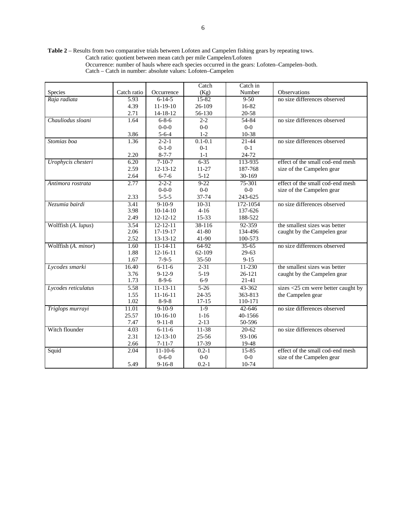**Table 2** – Results from two comparative trials between Lofoten and Campelen fishing gears by repeating tows. Catch ratio: quotient between mean catch per mile Campelen/Lofoten Occurrence: number of hauls where each species occurred in the gears: Lofoten–Campelen–both.

|                     |             |                | Catch       | Catch in   |                                       |
|---------------------|-------------|----------------|-------------|------------|---------------------------------------|
| Species             | Catch ratio | Occurrence     | (Kg)        | Number     | Observations                          |
| Raja radiata        | 5.93        | $6 - 14 - 5$   | 15-82       | $9 - 50$   | no size differences observed          |
|                     | 4.39        | $11-19-10$     | 26-109      | 16-82      |                                       |
|                     | 2.71        | 14-18-12       | 56-130      | 20-58      |                                       |
| Chauliodus sloani   | 1.64        | $6 - 8 - 6$    | $2 - 2$     | $54 - 84$  | no size differences observed          |
|                     |             | $0 - 0 - 0$    | $0-0$       | $0-0$      |                                       |
|                     | 3.86        | $5 - 6 - 4$    | $1-2$       | 10-38      |                                       |
| Stomias boa         | 1.36        | $2 - 2 - 1$    | $0.1 - 0.1$ | $21 - 44$  | no size differences observed          |
|                     |             | $0-1-0$        | $0 - 1$     | $0 - 1$    |                                       |
|                     | 2.20        | $8 - 7 - 7$    | $1-1$       | 24-72      |                                       |
| Urophycis chesteri  | 6.20        | $7-10-7$       | $6 - 35$    | 113-935    | effect of the small cod-end mesh      |
|                     | 2.59        | $12 - 13 - 12$ | $11 - 27$   | 187-768    | size of the Campelen gear             |
|                     | 2.64        | $6 - 7 - 6$    | $5 - 12$    | 30-169     |                                       |
| Antimora rostrata   | 2.77        | $2 - 2 - 2$    | $9 - 22$    | 75-301     | effect of the small cod-end mesh      |
|                     |             | $0 - 0 - 0$    | $0-0$       | $0-0$      | size of the Campelen gear             |
|                     | 2.33        | $5 - 5 - 5$    | 37-74       | 243-625    |                                       |
| Nezumia bairdi      | 3.41        | $9-10-9$       | $10-31$     | 172-1054   | no size differences observed          |
|                     | 3.98        | $10-14-10$     | $4-16$      | 137-626    |                                       |
|                     | 2.49        | $12 - 12 - 12$ | $15 - 33$   | 188-522    |                                       |
| Wolffish (A. lupus) | 3.54        | $12 - 12 - 11$ | 38-116      | 92-359     | the smallest sizes was better         |
|                     | 2.06        | 17-19-17       | $41 - 80$   | 134-496    | caught by the Campelen gear           |
|                     | 2.52        | 13-13-12       | 41-90       | 100-573    |                                       |
| Wolffish (A. minor) | 1.60        | $11 - 14 - 11$ | $64-92$     | $35-65$    | no size differences observed          |
|                     | 1.88        | $12 - 16 - 11$ | 62-109      | $29-63$    |                                       |
|                     | 1.67        | $7 - 9 - 5$    | 35-50       | $9 - 15$   |                                       |
| Lycodes smarki      | 16.40       | $6 - 11 - 6$   | $2 - 31$    | $11 - 230$ | the smallest sizes was better         |
|                     | 3.76        | $9 - 12 - 9$   | $5-19$      | 26-121     | caught by the Campelen gear           |
|                     | 1.73        | $8-9-6$        | $6-9$       | 21-41      |                                       |
| Lycodes reticulatus | 5.58        | $11 - 13 - 11$ | $5 - 26$    | 43-362     | sizes $<$ 25 cm were better caught by |
|                     | 1.55        | $11 - 16 - 11$ | 24-35       | 363-813    | the Campelen gear                     |
|                     | 1.02        | $8-9-8$        | $17 - 15$   | 110-171    |                                       |
| Triglops murrayi    | 11.01       | $9-10-9$       | $1-9$       | $42 - 646$ | no size differences observed          |
|                     | 25.57       | $10-16-10$     | $1 - 16$    | 40-1566    |                                       |
|                     | 7.47        | $9 - 11 - 8$   | $2 - 13$    | 50-596     |                                       |
| Witch flounder      | 4.03        | $6 - 11 - 6$   | $11-38$     | $20 - 62$  | no size differences observed          |
|                     | 2.31        | $12 - 13 - 10$ | $25 - 56$   | 93-106     |                                       |
|                     | 2.66        | $7 - 11 - 7$   | 17-39       | 19-48      |                                       |
| Squid               | 2.04        | $11 - 10 - 6$  | $0.2 - 1$   | 15-85      | effect of the small cod-end mesh      |
|                     |             | $0 - 6 - 0$    | $0-0$       | $0-0$      | size of the Campelen gear             |
|                     | 5.49        | $9 - 16 - 8$   | $0.2 - 1$   | 10-74      |                                       |

Catch – Catch in number: absolute values: Lofoten–Campelen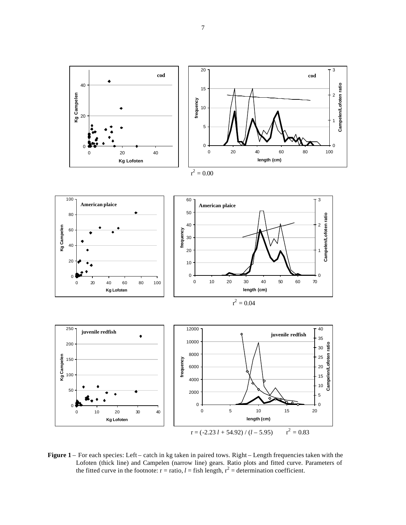

**Figure 1** – For each species: Left – catch in kg taken in paired tows. Right – Length frequencies taken with the Lofoten (thick line) and Campelen (narrow line) gears. Ratio plots and fitted curve. Parameters of the fitted curve in the footnote:  $r =$  ratio,  $l =$  fish length,  $r^2 =$  determination coefficient.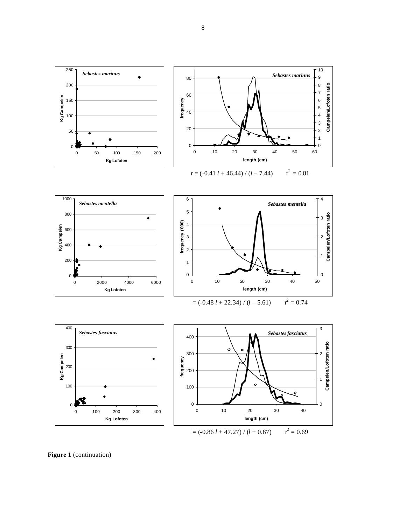

Figure 1 (continuation)